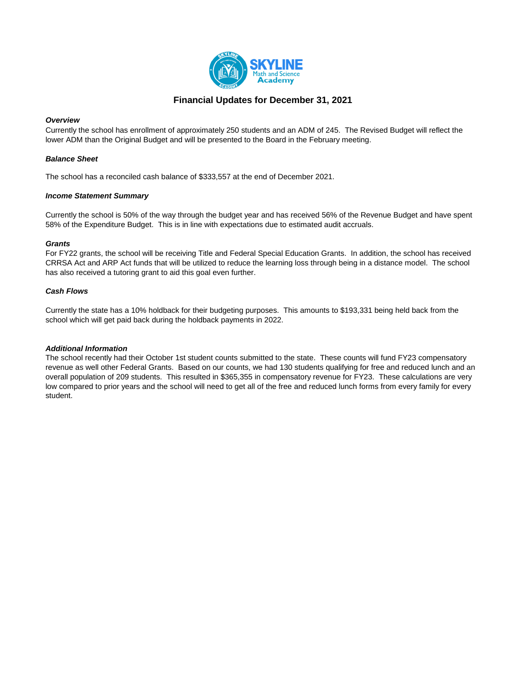

## **Financial Updates for December 31, 2021**

#### *Overview*

Currently the school has enrollment of approximately 250 students and an ADM of 245. The Revised Budget will reflect the lower ADM than the Original Budget and will be presented to the Board in the February meeting.

#### *Balance Sheet*

The school has a reconciled cash balance of \$333,557 at the end of December 2021.

#### *Income Statement Summary*

Currently the school is 50% of the way through the budget year and has received 56% of the Revenue Budget and have spent 58% of the Expenditure Budget. This is in line with expectations due to estimated audit accruals.

#### *Grants*

For FY22 grants, the school will be receiving Title and Federal Special Education Grants. In addition, the school has received CRRSA Act and ARP Act funds that will be utilized to reduce the learning loss through being in a distance model. The school has also received a tutoring grant to aid this goal even further.

#### *Cash Flows*

Currently the state has a 10% holdback for their budgeting purposes. This amounts to \$193,331 being held back from the school which will get paid back during the holdback payments in 2022.

### *Additional Information*

The school recently had their October 1st student counts submitted to the state. These counts will fund FY23 compensatory revenue as well other Federal Grants. Based on our counts, we had 130 students qualifying for free and reduced lunch and an overall population of 209 students. This resulted in \$365,355 in compensatory revenue for FY23. These calculations are very low compared to prior years and the school will need to get all of the free and reduced lunch forms from every family for every student.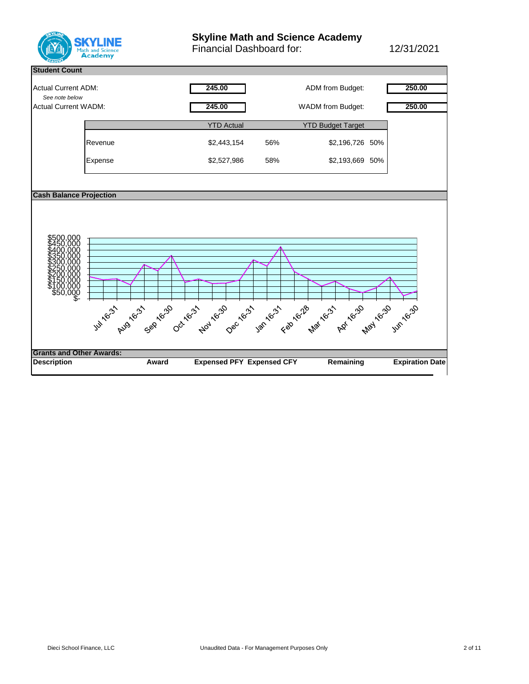

# **Skyline Math and Science Academy**

Financial Dashboard for: 12/31/2021

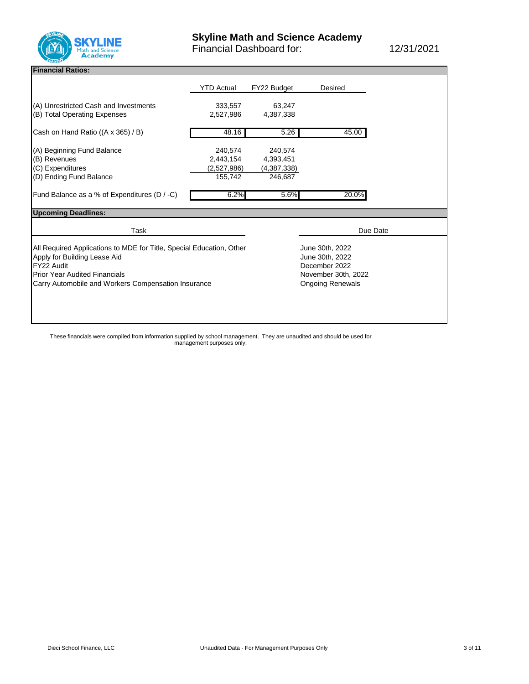

#### **Financial Ratios:**

|                                                                                                                                                                                                                   | <b>YTD Actual</b>                              | FY22 Budget                                                                                           | Desired  |
|-------------------------------------------------------------------------------------------------------------------------------------------------------------------------------------------------------------------|------------------------------------------------|-------------------------------------------------------------------------------------------------------|----------|
| (A) Unrestricted Cash and Investments<br>(B) Total Operating Expenses                                                                                                                                             | 333,557<br>2,527,986                           | 63,247<br>4,387,338                                                                                   |          |
| Cash on Hand Ratio ((A x 365) / B)                                                                                                                                                                                | 48.16                                          | 5.26                                                                                                  | 45.00    |
| (A) Beginning Fund Balance<br>(B) Revenues<br>(C) Expenditures<br>(D) Ending Fund Balance                                                                                                                         | 240,574<br>2,443,154<br>(2,527,986)<br>155,742 | 240.574<br>4,393,451<br>(4,387,338)<br>246,687                                                        |          |
| Fund Balance as a % of Expenditures (D / -C)                                                                                                                                                                      | 6.2%                                           | 5.6%                                                                                                  | 20.0%    |
| <b>Upcoming Deadlines:</b>                                                                                                                                                                                        |                                                |                                                                                                       |          |
| Task                                                                                                                                                                                                              |                                                |                                                                                                       | Due Date |
| All Required Applications to MDE for Title, Special Education, Other<br>Apply for Building Lease Aid<br>FY22 Audit<br><b>Prior Year Audited Financials</b><br>Carry Automobile and Workers Compensation Insurance |                                                | June 30th, 2022<br>June 30th, 2022<br>December 2022<br>November 30th, 2022<br><b>Ongoing Renewals</b> |          |

These financials were compiled from information supplied by school management. They are unaudited and should be used for management purposes only.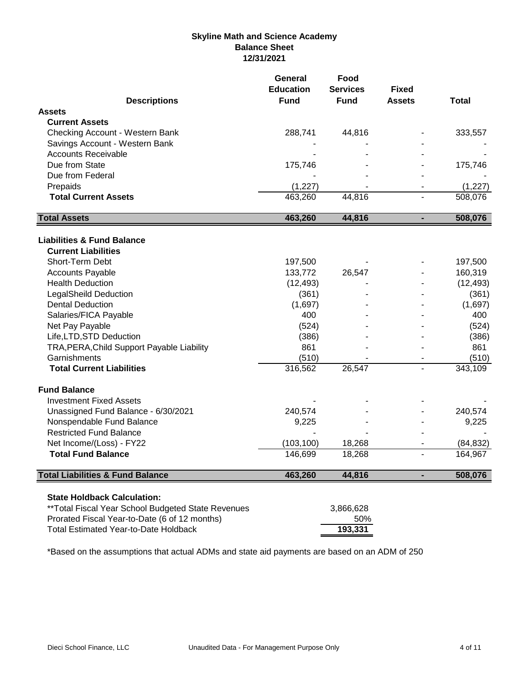# **Skyline Math and Science Academy Balance Sheet 12/31/2021**

|                                                              | <b>General</b><br><b>Education</b> | Food<br><b>Services</b> | <b>Fixed</b>  |              |
|--------------------------------------------------------------|------------------------------------|-------------------------|---------------|--------------|
| <b>Descriptions</b>                                          | <b>Fund</b>                        | <b>Fund</b>             | <b>Assets</b> | <b>Total</b> |
| <b>Assets</b>                                                |                                    |                         |               |              |
| <b>Current Assets</b>                                        |                                    |                         |               |              |
| Checking Account - Western Bank                              | 288,741                            | 44,816                  |               | 333,557      |
| Savings Account - Western Bank<br><b>Accounts Receivable</b> |                                    |                         |               |              |
| Due from State                                               | 175,746                            |                         |               | 175,746      |
| Due from Federal                                             |                                    |                         |               |              |
| Prepaids                                                     | (1, 227)                           |                         |               | (1, 227)     |
| <b>Total Current Assets</b>                                  | 463,260                            | 44,816                  |               | 508,076      |
|                                                              |                                    |                         |               |              |
| <b>Total Assets</b>                                          | 463,260                            | 44,816                  |               | 508,076      |
| <b>Liabilities &amp; Fund Balance</b>                        |                                    |                         |               |              |
| <b>Current Liabilities</b>                                   |                                    |                         |               |              |
| Short-Term Debt                                              | 197,500                            |                         |               | 197,500      |
| <b>Accounts Payable</b>                                      | 133,772                            | 26,547                  |               | 160,319      |
| <b>Health Deduction</b>                                      | (12, 493)                          |                         |               | (12, 493)    |
| <b>LegalSheild Deduction</b>                                 | (361)                              |                         |               | (361)        |
| <b>Dental Deduction</b>                                      | (1,697)                            |                         |               | (1,697)      |
| Salaries/FICA Payable                                        | 400                                |                         |               | 400          |
| Net Pay Payable                                              | (524)                              |                         |               | (524)        |
| Life, LTD, STD Deduction                                     | (386)                              |                         |               | (386)        |
| TRA, PERA, Child Support Payable Liability                   | 861                                |                         |               | 861          |
| Garnishments                                                 | (510)                              |                         |               | (510)        |
| <b>Total Current Liabilities</b>                             | 316,562                            | 26,547                  |               | 343,109      |
| <b>Fund Balance</b>                                          |                                    |                         |               |              |
| <b>Investment Fixed Assets</b>                               |                                    |                         |               |              |
| Unassigned Fund Balance - 6/30/2021                          | 240,574                            |                         |               | 240,574      |
| Nonspendable Fund Balance                                    | 9,225                              |                         |               | 9,225        |
| <b>Restricted Fund Balance</b>                               |                                    |                         |               |              |
| Net Income/(Loss) - FY22                                     | (103, 100)                         | 18,268                  |               | (84, 832)    |
| <b>Total Fund Balance</b>                                    | 146,699                            | 18,268                  |               | 164,967      |
| <b>Total Liabilities &amp; Fund Balance</b>                  | 463,260                            | 44,816                  |               | 508,076      |
| <b>State Holdback Calculation:</b>                           |                                    |                         |               |              |
| ** Total Fiscal Year School Budgeted State Revenues          |                                    | 3,866,628               |               |              |
| Prorated Fiscal Year-to-Date (6 of 12 months)                |                                    | 50%                     |               |              |
| <b>Total Estimated Year-to-Date Holdback</b>                 |                                    | 193,331                 |               |              |

\*Based on the assumptions that actual ADMs and state aid payments are based on an ADM of 250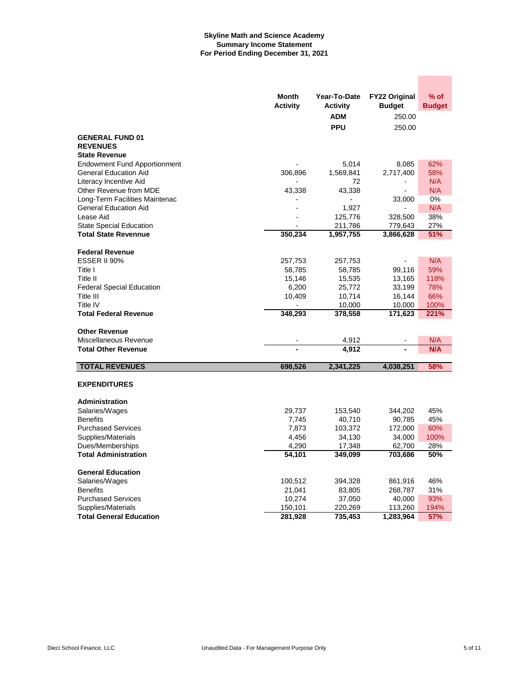#### **Skyline Math and Science Academy Summary Income Statement For Period Ending December 31, 2021**

|                                               | Month           | Year-To-Date    | <b>FY22 Original</b> | % of          |
|-----------------------------------------------|-----------------|-----------------|----------------------|---------------|
|                                               | <b>Activity</b> | <b>Activity</b> | <b>Budget</b>        | <b>Budget</b> |
|                                               |                 | ADM             | 250.00               |               |
|                                               |                 | <b>PPU</b>      | 250.00               |               |
| <b>GENERAL FUND 01</b>                        |                 |                 |                      |               |
| <b>REVENUES</b>                               |                 |                 |                      |               |
| <b>State Revenue</b>                          |                 |                 |                      |               |
| <b>Endowment Fund Apportionment</b>           |                 | 5,014           | 8,085                | 62%           |
| <b>General Education Aid</b>                  | 306,896         | 1,569,841       | 2,717,400            | 58%           |
| Literacy Incentive Aid                        |                 | 72              |                      | N/A           |
| Other Revenue from MDE                        | 43,338          | 43,338          |                      | N/A           |
| Long-Term Facilities Maintenac                |                 |                 | 33,000               | 0%            |
| <b>General Education Aid</b>                  |                 | 1,927           |                      | N/A           |
| Lease Aid                                     |                 | 125,776         | 328,500              | 38%           |
| <b>State Special Education</b>                |                 | 211,786         | 779,643              | 27%           |
| <b>Total State Revennue</b>                   | 350,234         | 1,957,755       | 3,866,628            | 51%           |
| <b>Federal Revenue</b>                        |                 |                 |                      |               |
| <b>ESSER II 90%</b>                           | 257,753         | 257,753         |                      | N/A           |
| Title I                                       | 58,785          | 58,785          | 99,116               | 59%           |
| Title II                                      | 15,146          | 15,535          | 13,165               | 118%          |
| <b>Federal Special Education</b>              | 6,200           | 25,772          | 33,199               | 78%           |
| Title III                                     | 10,409          | 10,714          | 16,144               | 66%           |
| Title IV                                      |                 | 10,000          | 10,000               | 100%          |
| <b>Total Federal Revenue</b>                  | 348,293         | 378,558         | 171,623              | 221%          |
|                                               |                 |                 |                      |               |
| <b>Other Revenue</b><br>Miscellaneous Revenue |                 | 4,912           |                      | N/A           |
| <b>Total Other Revenue</b>                    |                 | 4,912           |                      | N/A           |
|                                               |                 |                 |                      |               |
| <b>TOTAL REVENUES</b>                         | 698,526         | 2,341,225       | 4,038,251            | 58%           |
|                                               |                 |                 |                      |               |
| <b>EXPENDITURES</b>                           |                 |                 |                      |               |
|                                               |                 |                 |                      |               |
| Administration<br>Salaries/Wages              | 29,737          | 153,540         | 344,202              | 45%           |
| <b>Benefits</b>                               | 7,745           | 40,710          | 90,785               | 45%           |
| <b>Purchased Services</b>                     | 7,873           | 103,372         | 172,000              | 60%           |
| Supplies/Materials                            | 4,456           | 34,130          | 34,000               | 100%          |
| Dues/Memberships                              | 4,290           | 17,348          | 62,700               | 28%           |
| <b>Total Administration</b>                   | 54,101          | 349,099         | 703,686              | 50%           |
|                                               |                 |                 |                      |               |
| <b>General Education</b>                      |                 |                 |                      |               |
| Salaries/Wages                                | 100,512         | 394,328         | 861,916              | 46%           |
| <b>Benefits</b>                               | 21,041          | 83,805          | 268,787              | 31%           |
| <b>Purchased Services</b>                     | 10,274          | 37,050          | 40,000               | 93%           |
| Supplies/Materials                            | 150,101         | 220,269         | 113,260              | 194%          |
| <b>Total General Education</b>                | 281,928         | 735,453         | 1,283,964            | 57%           |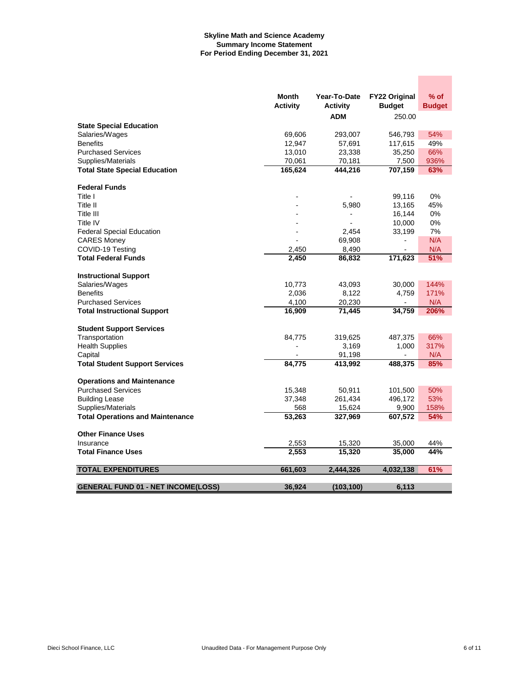#### **Skyline Math and Science Academy Summary Income Statement For Period Ending December 31, 2021**

|                                           | Month           | Year-To-Date             | FY22 Original  | $%$ of        |
|-------------------------------------------|-----------------|--------------------------|----------------|---------------|
|                                           | <b>Activity</b> | <b>Activity</b>          | <b>Budget</b>  | <b>Budget</b> |
|                                           |                 | <b>ADM</b>               | 250.00         |               |
| <b>State Special Education</b>            |                 |                          |                |               |
| Salaries/Wages                            | 69,606          | 293,007                  | 546,793        | 54%           |
| <b>Benefits</b>                           | 12,947          | 57,691                   | 117,615        | 49%           |
| <b>Purchased Services</b>                 | 13,010          | 23,338                   | 35,250         | 66%           |
| Supplies/Materials                        | 70,061          | 70,181                   | 7,500          | 936%          |
| <b>Total State Special Education</b>      | 165,624         | 444,216                  | 707,159        | 63%           |
| <b>Federal Funds</b>                      |                 |                          |                |               |
| Title I                                   |                 |                          | 99,116         | 0%            |
| Title II                                  |                 | 5,980                    | 13,165         | 45%           |
| Title III                                 |                 | $\overline{\phantom{a}}$ | 16,144         | 0%            |
| Title IV                                  |                 |                          | 10,000         | 0%            |
| <b>Federal Special Education</b>          |                 | 2,454                    | 33,199         | 7%            |
| <b>CARES Money</b>                        |                 | 69,908                   | $\overline{a}$ | N/A           |
| COVID-19 Testing                          | 2,450           | 8,490                    |                | N/A           |
| <b>Total Federal Funds</b>                | 2,450           | 86,832                   | 171,623        | 51%           |
|                                           |                 |                          |                |               |
| <b>Instructional Support</b>              |                 |                          |                |               |
| Salaries/Wages                            | 10,773          | 43,093                   | 30,000         | 144%          |
| <b>Benefits</b>                           | 2,036           | 8,122                    | 4,759          | 171%          |
| <b>Purchased Services</b>                 | 4,100           | 20,230                   | $\overline{a}$ | N/A           |
| <b>Total Instructional Support</b>        | 16,909          | 71,445                   | 34,759         | 206%          |
| <b>Student Support Services</b>           |                 |                          |                |               |
| Transportation                            | 84,775          | 319,625                  | 487,375        | 66%           |
| <b>Health Supplies</b>                    |                 | 3,169                    | 1,000          | 317%          |
| Capital                                   |                 | 91,198                   |                | N/A           |
| <b>Total Student Support Services</b>     | 84,775          | 413,992                  | 488,375        | 85%           |
|                                           |                 |                          |                |               |
| <b>Operations and Maintenance</b>         |                 |                          |                |               |
| <b>Purchased Services</b>                 | 15,348          | 50,911                   | 101,500        | 50%           |
| <b>Building Lease</b>                     | 37,348          | 261,434                  | 496,172        | 53%           |
| Supplies/Materials                        | 568             | 15,624                   | 9,900          | 158%          |
| <b>Total Operations and Maintenance</b>   | 53,263          | 327,969                  | 607,572        | 54%           |
|                                           |                 |                          |                |               |
| <b>Other Finance Uses</b>                 |                 |                          |                |               |
| Insurance                                 | 2,553           | 15,320                   | 35,000         | 44%           |
| <b>Total Finance Uses</b>                 | 2,553           | 15,320                   | 35,000         | 44%           |
| <b>TOTAL EXPENDITURES</b>                 | 661,603         | 2,444,326                | 4,032,138      | 61%           |
|                                           |                 |                          |                |               |
| <b>GENERAL FUND 01 - NET INCOME(LOSS)</b> | 36,924          | (103, 100)               | 6.113          |               |

**Contract**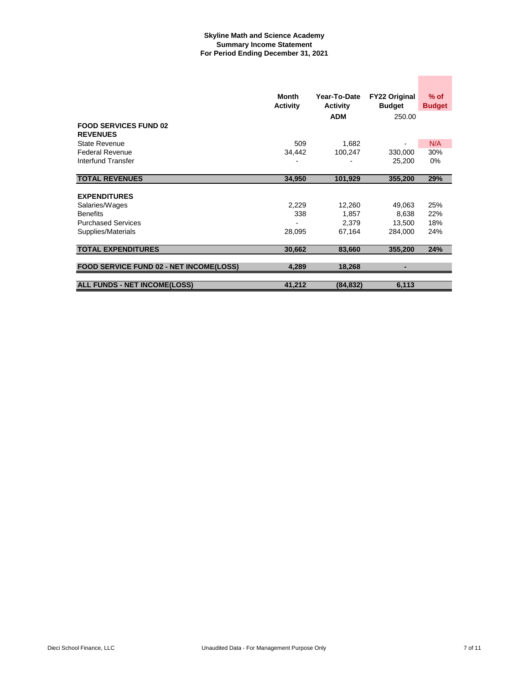#### **Skyline Math and Science Academy Summary Income Statement For Period Ending December 31, 2021**

|                                                 | Month<br><b>Activity</b> | Year-To-Date<br><b>Activity</b> | <b>FY22 Original</b><br><b>Budget</b> | $%$ of<br><b>Budget</b> |
|-------------------------------------------------|--------------------------|---------------------------------|---------------------------------------|-------------------------|
|                                                 |                          | <b>ADM</b>                      | 250.00                                |                         |
| <b>FOOD SERVICES FUND 02</b><br><b>REVENUES</b> |                          |                                 |                                       |                         |
| <b>State Revenue</b>                            | 509                      | 1,682                           |                                       | N/A                     |
| <b>Federal Revenue</b>                          | 34,442                   | 100,247                         | 330,000                               | 30%                     |
| Interfund Transfer                              |                          |                                 | 25,200                                | 0%                      |
| <b>TOTAL REVENUES</b>                           |                          |                                 |                                       |                         |
|                                                 | 34,950                   | 101,929                         | 355,200                               | 29%                     |
| <b>EXPENDITURES</b>                             |                          |                                 |                                       |                         |
| Salaries/Wages                                  | 2,229                    | 12,260                          | 49,063                                | 25%                     |
| <b>Benefits</b>                                 | 338                      | 1,857                           | 8,638                                 | 22%                     |
| <b>Purchased Services</b>                       |                          | 2.379                           | 13,500                                | 18%                     |
| Supplies/Materials                              | 28,095                   | 67,164                          | 284,000                               | 24%                     |
|                                                 |                          |                                 |                                       |                         |
| <b>TOTAL EXPENDITURES</b>                       | 30,662                   | 83,660                          | 355,200                               | 24%                     |
|                                                 |                          |                                 |                                       |                         |
| FOOD SERVICE FUND 02 - NET INCOME(LOSS)         | 4,289                    | 18,268                          | -                                     |                         |
|                                                 |                          |                                 |                                       |                         |
| <b>ALL FUNDS - NET INCOME(LOSS)</b>             | 41,212                   | (84, 832)                       | 6,113                                 |                         |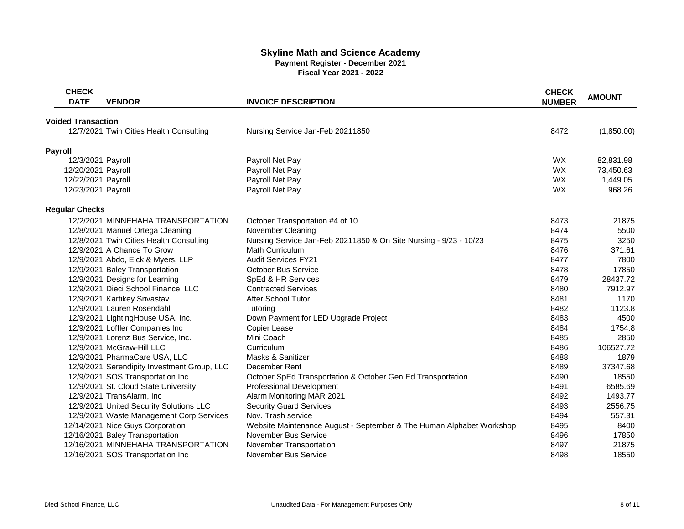## **Skyline Math and Science Academy Payment Register - December 2021 Fiscal Year 2021 - 2022**

| <b>CHECK</b><br><b>DATE</b> | <b>VENDOR</b>                               | <b>INVOICE DESCRIPTION</b>                                           | <b>CHECK</b><br><b>NUMBER</b> | <b>AMOUNT</b> |
|-----------------------------|---------------------------------------------|----------------------------------------------------------------------|-------------------------------|---------------|
|                             |                                             |                                                                      |                               |               |
| <b>Voided Transaction</b>   | 12/7/2021 Twin Cities Health Consulting     | Nursing Service Jan-Feb 20211850                                     | 8472                          | (1,850.00)    |
|                             |                                             |                                                                      |                               |               |
| Payroll                     |                                             |                                                                      |                               |               |
| 12/3/2021 Payroll           |                                             | Payroll Net Pay                                                      | <b>WX</b>                     | 82,831.98     |
| 12/20/2021 Payroll          |                                             | Payroll Net Pay                                                      | <b>WX</b>                     | 73,450.63     |
| 12/22/2021 Payroll          |                                             | Payroll Net Pay                                                      | <b>WX</b>                     | 1,449.05      |
| 12/23/2021 Payroll          |                                             | Payroll Net Pay                                                      | <b>WX</b>                     | 968.26        |
| <b>Regular Checks</b>       |                                             |                                                                      |                               |               |
|                             | 12/2/2021 MINNEHAHA TRANSPORTATION          | October Transportation #4 of 10                                      | 8473                          | 21875         |
|                             | 12/8/2021 Manuel Ortega Cleaning            | November Cleaning                                                    | 8474                          | 5500          |
|                             | 12/8/2021 Twin Cities Health Consulting     | Nursing Service Jan-Feb 20211850 & On Site Nursing - 9/23 - 10/23    | 8475                          | 3250          |
|                             | 12/9/2021 A Chance To Grow                  | <b>Math Curriculum</b>                                               | 8476                          | 371.61        |
|                             | 12/9/2021 Abdo, Eick & Myers, LLP           | <b>Audit Services FY21</b>                                           | 8477                          | 7800          |
|                             | 12/9/2021 Baley Transportation              | October Bus Service                                                  | 8478                          | 17850         |
|                             | 12/9/2021 Designs for Learning              | SpEd & HR Services                                                   | 8479                          | 28437.72      |
|                             | 12/9/2021 Dieci School Finance, LLC         | <b>Contracted Services</b>                                           | 8480                          | 7912.97       |
|                             | 12/9/2021 Kartikey Srivastav                | <b>After School Tutor</b>                                            | 8481                          | 1170          |
|                             | 12/9/2021 Lauren Rosendahl                  | Tutoring                                                             | 8482                          | 1123.8        |
|                             | 12/9/2021 LightingHouse USA, Inc.           | Down Payment for LED Upgrade Project                                 | 8483                          | 4500          |
|                             | 12/9/2021 Loffler Companies Inc             | Copier Lease                                                         | 8484                          | 1754.8        |
|                             | 12/9/2021 Lorenz Bus Service, Inc.          | Mini Coach                                                           | 8485                          | 2850          |
|                             | 12/9/2021 McGraw-Hill LLC                   | Curriculum                                                           | 8486                          | 106527.72     |
|                             | 12/9/2021 PharmaCare USA, LLC               | Masks & Sanitizer                                                    | 8488                          | 1879          |
|                             | 12/9/2021 Serendipity Investment Group, LLC | December Rent                                                        | 8489                          | 37347.68      |
|                             | 12/9/2021 SOS Transportation Inc            | October SpEd Transportation & October Gen Ed Transportation          | 8490                          | 18550         |
|                             | 12/9/2021 St. Cloud State University        | Professional Development                                             | 8491                          | 6585.69       |
|                             | 12/9/2021 TransAlarm, Inc                   | Alarm Monitoring MAR 2021                                            | 8492                          | 1493.77       |
|                             | 12/9/2021 United Security Solutions LLC     | <b>Security Guard Services</b>                                       | 8493                          | 2556.75       |
|                             | 12/9/2021 Waste Management Corp Services    | Nov. Trash service                                                   | 8494                          | 557.31        |
|                             | 12/14/2021 Nice Guys Corporation            | Website Maintenance August - September & The Human Alphabet Workshop | 8495                          | 8400          |
|                             | 12/16/2021 Baley Transportation             | November Bus Service                                                 | 8496                          | 17850         |
|                             | 12/16/2021 MINNEHAHA TRANSPORTATION         | November Transportation                                              | 8497                          | 21875         |
|                             | 12/16/2021 SOS Transportation Inc           | November Bus Service                                                 | 8498                          | 18550         |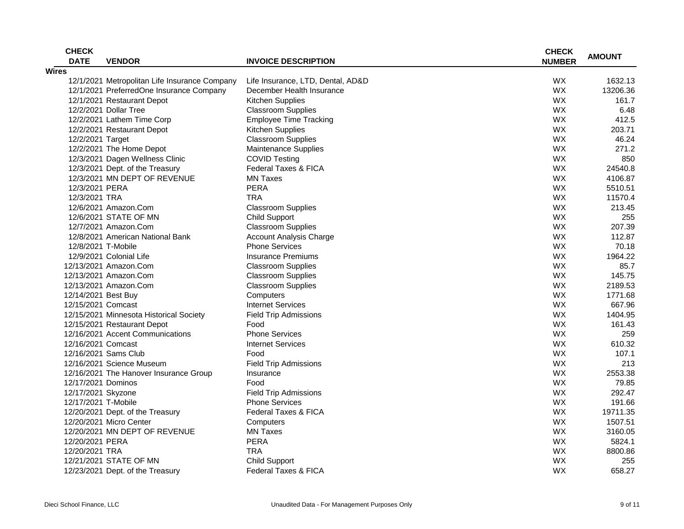| <b>DATE</b><br><b>VENDOR</b><br><b>INVOICE DESCRIPTION</b><br><b>NUMBER</b><br>WX<br>12/1/2021 Metropolitan Life Insurance Company<br>1632.13<br>Life Insurance, LTD, Dental, AD&D<br>WX<br>13206.36<br>12/1/2021 PreferredOne Insurance Company<br>December Health Insurance<br>WX<br>Kitchen Supplies<br>161.7<br>12/1/2021 Restaurant Depot<br>12/2/2021 Dollar Tree<br><b>Classroom Supplies</b><br><b>WX</b><br>6.48<br><b>WX</b><br>412.5<br>12/2/2021 Lathem Time Corp<br><b>Employee Time Tracking</b><br><b>WX</b><br>203.71<br><b>Kitchen Supplies</b><br>12/2/2021 Restaurant Depot<br>WX<br><b>Classroom Supplies</b><br>46.24<br>12/2/2021 Target<br>12/2/2021 The Home Depot<br><b>Maintenance Supplies</b><br><b>WX</b><br>271.2<br>12/3/2021 Dagen Wellness Clinic<br><b>COVID Testing</b><br>WX<br>850<br>WX<br>12/3/2021 Dept. of the Treasury<br><b>Federal Taxes &amp; FICA</b><br>24540.8<br>12/3/2021 MN DEPT OF REVENUE<br><b>WX</b><br>4106.87<br><b>MN Taxes</b><br>12/3/2021 PERA<br><b>PERA</b><br>WX<br>5510.51<br>WX<br>12/3/2021 TRA<br><b>TRA</b><br>11570.4<br><b>WX</b><br>12/6/2021 Amazon.Com<br><b>Classroom Supplies</b><br>213.45<br>WX<br>12/6/2021 STATE OF MN<br>255<br><b>Child Support</b><br><b>WX</b><br>207.39<br><b>Classroom Supplies</b><br>12/7/2021 Amazon.Com<br>WX<br><b>Account Analysis Charge</b><br>12/8/2021 American National Bank<br>112.87<br><b>Phone Services</b><br>WX<br>12/8/2021 T-Mobile<br>70.18<br>WX<br><b>Insurance Premiums</b><br>12/9/2021 Colonial Life<br>1964.22<br><b>WX</b><br>12/13/2021 Amazon.Com<br><b>Classroom Supplies</b><br>85.7<br><b>WX</b><br>145.75<br>12/13/2021 Amazon.Com<br><b>Classroom Supplies</b><br><b>WX</b><br>12/13/2021 Amazon.Com<br><b>Classroom Supplies</b><br>2189.53<br><b>WX</b><br>1771.68<br>12/14/2021 Best Buy<br>Computers<br>WX<br><b>Internet Services</b><br>667.96<br>12/15/2021 Comcast<br>WX<br>12/15/2021 Minnesota Historical Society<br><b>Field Trip Admissions</b><br>1404.95<br>WX<br>161.43<br>12/15/2021 Restaurant Depot<br>Food<br>12/16/2021 Accent Communications<br><b>Phone Services</b><br>WX<br>259<br><b>WX</b><br>12/16/2021 Comcast<br><b>Internet Services</b><br>610.32<br>WX<br>12/16/2021 Sams Club<br>Food<br>107.1<br><b>WX</b><br>213<br>12/16/2021 Science Museum<br><b>Field Trip Admissions</b><br><b>WX</b><br>12/16/2021 The Hanover Insurance Group<br>2553.38<br>Insurance<br>12/17/2021 Dominos<br>WX<br>79.85<br>Food<br><b>Field Trip Admissions</b><br>WX<br>292.47<br>12/17/2021 Skyzone<br><b>Phone Services</b><br>WX<br>12/17/2021 T-Mobile<br>191.66<br>WX<br>19711.35<br>12/20/2021 Dept. of the Treasury<br><b>Federal Taxes &amp; FICA</b><br><b>WX</b><br>1507.51<br>12/20/2021 Micro Center<br>Computers<br>WX<br>12/20/2021 MN DEPT OF REVENUE<br><b>MN Taxes</b><br>3160.05<br><b>PERA</b><br><b>WX</b><br>12/20/2021 PERA<br>5824.1<br>12/20/2021 TRA<br><b>TRA</b><br><b>WX</b><br>8800.86<br>12/21/2021 STATE OF MN<br><b>Child Support</b><br><b>WX</b><br>255<br>12/23/2021 Dept. of the Treasury | <b>CHECK</b> |                      | <b>CHECK</b> |               |
|-------------------------------------------------------------------------------------------------------------------------------------------------------------------------------------------------------------------------------------------------------------------------------------------------------------------------------------------------------------------------------------------------------------------------------------------------------------------------------------------------------------------------------------------------------------------------------------------------------------------------------------------------------------------------------------------------------------------------------------------------------------------------------------------------------------------------------------------------------------------------------------------------------------------------------------------------------------------------------------------------------------------------------------------------------------------------------------------------------------------------------------------------------------------------------------------------------------------------------------------------------------------------------------------------------------------------------------------------------------------------------------------------------------------------------------------------------------------------------------------------------------------------------------------------------------------------------------------------------------------------------------------------------------------------------------------------------------------------------------------------------------------------------------------------------------------------------------------------------------------------------------------------------------------------------------------------------------------------------------------------------------------------------------------------------------------------------------------------------------------------------------------------------------------------------------------------------------------------------------------------------------------------------------------------------------------------------------------------------------------------------------------------------------------------------------------------------------------------------------------------------------------------------------------------------------------------------------------------------------------------------------------------------------------------------------------------------------------------------------------------------------------------------------------------------------------------------------------------------------------------------------------------------------------------------------------------------------------------------------------------------------------------------------------------------------------------------------|--------------|----------------------|--------------|---------------|
|                                                                                                                                                                                                                                                                                                                                                                                                                                                                                                                                                                                                                                                                                                                                                                                                                                                                                                                                                                                                                                                                                                                                                                                                                                                                                                                                                                                                                                                                                                                                                                                                                                                                                                                                                                                                                                                                                                                                                                                                                                                                                                                                                                                                                                                                                                                                                                                                                                                                                                                                                                                                                                                                                                                                                                                                                                                                                                                                                                                                                                                                                     |              |                      |              | <b>AMOUNT</b> |
|                                                                                                                                                                                                                                                                                                                                                                                                                                                                                                                                                                                                                                                                                                                                                                                                                                                                                                                                                                                                                                                                                                                                                                                                                                                                                                                                                                                                                                                                                                                                                                                                                                                                                                                                                                                                                                                                                                                                                                                                                                                                                                                                                                                                                                                                                                                                                                                                                                                                                                                                                                                                                                                                                                                                                                                                                                                                                                                                                                                                                                                                                     | <b>Wires</b> |                      |              |               |
|                                                                                                                                                                                                                                                                                                                                                                                                                                                                                                                                                                                                                                                                                                                                                                                                                                                                                                                                                                                                                                                                                                                                                                                                                                                                                                                                                                                                                                                                                                                                                                                                                                                                                                                                                                                                                                                                                                                                                                                                                                                                                                                                                                                                                                                                                                                                                                                                                                                                                                                                                                                                                                                                                                                                                                                                                                                                                                                                                                                                                                                                                     |              |                      |              |               |
|                                                                                                                                                                                                                                                                                                                                                                                                                                                                                                                                                                                                                                                                                                                                                                                                                                                                                                                                                                                                                                                                                                                                                                                                                                                                                                                                                                                                                                                                                                                                                                                                                                                                                                                                                                                                                                                                                                                                                                                                                                                                                                                                                                                                                                                                                                                                                                                                                                                                                                                                                                                                                                                                                                                                                                                                                                                                                                                                                                                                                                                                                     |              |                      |              |               |
|                                                                                                                                                                                                                                                                                                                                                                                                                                                                                                                                                                                                                                                                                                                                                                                                                                                                                                                                                                                                                                                                                                                                                                                                                                                                                                                                                                                                                                                                                                                                                                                                                                                                                                                                                                                                                                                                                                                                                                                                                                                                                                                                                                                                                                                                                                                                                                                                                                                                                                                                                                                                                                                                                                                                                                                                                                                                                                                                                                                                                                                                                     |              |                      |              |               |
|                                                                                                                                                                                                                                                                                                                                                                                                                                                                                                                                                                                                                                                                                                                                                                                                                                                                                                                                                                                                                                                                                                                                                                                                                                                                                                                                                                                                                                                                                                                                                                                                                                                                                                                                                                                                                                                                                                                                                                                                                                                                                                                                                                                                                                                                                                                                                                                                                                                                                                                                                                                                                                                                                                                                                                                                                                                                                                                                                                                                                                                                                     |              |                      |              |               |
|                                                                                                                                                                                                                                                                                                                                                                                                                                                                                                                                                                                                                                                                                                                                                                                                                                                                                                                                                                                                                                                                                                                                                                                                                                                                                                                                                                                                                                                                                                                                                                                                                                                                                                                                                                                                                                                                                                                                                                                                                                                                                                                                                                                                                                                                                                                                                                                                                                                                                                                                                                                                                                                                                                                                                                                                                                                                                                                                                                                                                                                                                     |              |                      |              |               |
|                                                                                                                                                                                                                                                                                                                                                                                                                                                                                                                                                                                                                                                                                                                                                                                                                                                                                                                                                                                                                                                                                                                                                                                                                                                                                                                                                                                                                                                                                                                                                                                                                                                                                                                                                                                                                                                                                                                                                                                                                                                                                                                                                                                                                                                                                                                                                                                                                                                                                                                                                                                                                                                                                                                                                                                                                                                                                                                                                                                                                                                                                     |              |                      |              |               |
|                                                                                                                                                                                                                                                                                                                                                                                                                                                                                                                                                                                                                                                                                                                                                                                                                                                                                                                                                                                                                                                                                                                                                                                                                                                                                                                                                                                                                                                                                                                                                                                                                                                                                                                                                                                                                                                                                                                                                                                                                                                                                                                                                                                                                                                                                                                                                                                                                                                                                                                                                                                                                                                                                                                                                                                                                                                                                                                                                                                                                                                                                     |              |                      |              |               |
|                                                                                                                                                                                                                                                                                                                                                                                                                                                                                                                                                                                                                                                                                                                                                                                                                                                                                                                                                                                                                                                                                                                                                                                                                                                                                                                                                                                                                                                                                                                                                                                                                                                                                                                                                                                                                                                                                                                                                                                                                                                                                                                                                                                                                                                                                                                                                                                                                                                                                                                                                                                                                                                                                                                                                                                                                                                                                                                                                                                                                                                                                     |              |                      |              |               |
|                                                                                                                                                                                                                                                                                                                                                                                                                                                                                                                                                                                                                                                                                                                                                                                                                                                                                                                                                                                                                                                                                                                                                                                                                                                                                                                                                                                                                                                                                                                                                                                                                                                                                                                                                                                                                                                                                                                                                                                                                                                                                                                                                                                                                                                                                                                                                                                                                                                                                                                                                                                                                                                                                                                                                                                                                                                                                                                                                                                                                                                                                     |              |                      |              |               |
|                                                                                                                                                                                                                                                                                                                                                                                                                                                                                                                                                                                                                                                                                                                                                                                                                                                                                                                                                                                                                                                                                                                                                                                                                                                                                                                                                                                                                                                                                                                                                                                                                                                                                                                                                                                                                                                                                                                                                                                                                                                                                                                                                                                                                                                                                                                                                                                                                                                                                                                                                                                                                                                                                                                                                                                                                                                                                                                                                                                                                                                                                     |              |                      |              |               |
|                                                                                                                                                                                                                                                                                                                                                                                                                                                                                                                                                                                                                                                                                                                                                                                                                                                                                                                                                                                                                                                                                                                                                                                                                                                                                                                                                                                                                                                                                                                                                                                                                                                                                                                                                                                                                                                                                                                                                                                                                                                                                                                                                                                                                                                                                                                                                                                                                                                                                                                                                                                                                                                                                                                                                                                                                                                                                                                                                                                                                                                                                     |              |                      |              |               |
|                                                                                                                                                                                                                                                                                                                                                                                                                                                                                                                                                                                                                                                                                                                                                                                                                                                                                                                                                                                                                                                                                                                                                                                                                                                                                                                                                                                                                                                                                                                                                                                                                                                                                                                                                                                                                                                                                                                                                                                                                                                                                                                                                                                                                                                                                                                                                                                                                                                                                                                                                                                                                                                                                                                                                                                                                                                                                                                                                                                                                                                                                     |              |                      |              |               |
|                                                                                                                                                                                                                                                                                                                                                                                                                                                                                                                                                                                                                                                                                                                                                                                                                                                                                                                                                                                                                                                                                                                                                                                                                                                                                                                                                                                                                                                                                                                                                                                                                                                                                                                                                                                                                                                                                                                                                                                                                                                                                                                                                                                                                                                                                                                                                                                                                                                                                                                                                                                                                                                                                                                                                                                                                                                                                                                                                                                                                                                                                     |              |                      |              |               |
|                                                                                                                                                                                                                                                                                                                                                                                                                                                                                                                                                                                                                                                                                                                                                                                                                                                                                                                                                                                                                                                                                                                                                                                                                                                                                                                                                                                                                                                                                                                                                                                                                                                                                                                                                                                                                                                                                                                                                                                                                                                                                                                                                                                                                                                                                                                                                                                                                                                                                                                                                                                                                                                                                                                                                                                                                                                                                                                                                                                                                                                                                     |              |                      |              |               |
|                                                                                                                                                                                                                                                                                                                                                                                                                                                                                                                                                                                                                                                                                                                                                                                                                                                                                                                                                                                                                                                                                                                                                                                                                                                                                                                                                                                                                                                                                                                                                                                                                                                                                                                                                                                                                                                                                                                                                                                                                                                                                                                                                                                                                                                                                                                                                                                                                                                                                                                                                                                                                                                                                                                                                                                                                                                                                                                                                                                                                                                                                     |              |                      |              |               |
|                                                                                                                                                                                                                                                                                                                                                                                                                                                                                                                                                                                                                                                                                                                                                                                                                                                                                                                                                                                                                                                                                                                                                                                                                                                                                                                                                                                                                                                                                                                                                                                                                                                                                                                                                                                                                                                                                                                                                                                                                                                                                                                                                                                                                                                                                                                                                                                                                                                                                                                                                                                                                                                                                                                                                                                                                                                                                                                                                                                                                                                                                     |              |                      |              |               |
|                                                                                                                                                                                                                                                                                                                                                                                                                                                                                                                                                                                                                                                                                                                                                                                                                                                                                                                                                                                                                                                                                                                                                                                                                                                                                                                                                                                                                                                                                                                                                                                                                                                                                                                                                                                                                                                                                                                                                                                                                                                                                                                                                                                                                                                                                                                                                                                                                                                                                                                                                                                                                                                                                                                                                                                                                                                                                                                                                                                                                                                                                     |              |                      |              |               |
|                                                                                                                                                                                                                                                                                                                                                                                                                                                                                                                                                                                                                                                                                                                                                                                                                                                                                                                                                                                                                                                                                                                                                                                                                                                                                                                                                                                                                                                                                                                                                                                                                                                                                                                                                                                                                                                                                                                                                                                                                                                                                                                                                                                                                                                                                                                                                                                                                                                                                                                                                                                                                                                                                                                                                                                                                                                                                                                                                                                                                                                                                     |              |                      |              |               |
|                                                                                                                                                                                                                                                                                                                                                                                                                                                                                                                                                                                                                                                                                                                                                                                                                                                                                                                                                                                                                                                                                                                                                                                                                                                                                                                                                                                                                                                                                                                                                                                                                                                                                                                                                                                                                                                                                                                                                                                                                                                                                                                                                                                                                                                                                                                                                                                                                                                                                                                                                                                                                                                                                                                                                                                                                                                                                                                                                                                                                                                                                     |              |                      |              |               |
|                                                                                                                                                                                                                                                                                                                                                                                                                                                                                                                                                                                                                                                                                                                                                                                                                                                                                                                                                                                                                                                                                                                                                                                                                                                                                                                                                                                                                                                                                                                                                                                                                                                                                                                                                                                                                                                                                                                                                                                                                                                                                                                                                                                                                                                                                                                                                                                                                                                                                                                                                                                                                                                                                                                                                                                                                                                                                                                                                                                                                                                                                     |              |                      |              |               |
|                                                                                                                                                                                                                                                                                                                                                                                                                                                                                                                                                                                                                                                                                                                                                                                                                                                                                                                                                                                                                                                                                                                                                                                                                                                                                                                                                                                                                                                                                                                                                                                                                                                                                                                                                                                                                                                                                                                                                                                                                                                                                                                                                                                                                                                                                                                                                                                                                                                                                                                                                                                                                                                                                                                                                                                                                                                                                                                                                                                                                                                                                     |              |                      |              |               |
|                                                                                                                                                                                                                                                                                                                                                                                                                                                                                                                                                                                                                                                                                                                                                                                                                                                                                                                                                                                                                                                                                                                                                                                                                                                                                                                                                                                                                                                                                                                                                                                                                                                                                                                                                                                                                                                                                                                                                                                                                                                                                                                                                                                                                                                                                                                                                                                                                                                                                                                                                                                                                                                                                                                                                                                                                                                                                                                                                                                                                                                                                     |              |                      |              |               |
|                                                                                                                                                                                                                                                                                                                                                                                                                                                                                                                                                                                                                                                                                                                                                                                                                                                                                                                                                                                                                                                                                                                                                                                                                                                                                                                                                                                                                                                                                                                                                                                                                                                                                                                                                                                                                                                                                                                                                                                                                                                                                                                                                                                                                                                                                                                                                                                                                                                                                                                                                                                                                                                                                                                                                                                                                                                                                                                                                                                                                                                                                     |              |                      |              |               |
|                                                                                                                                                                                                                                                                                                                                                                                                                                                                                                                                                                                                                                                                                                                                                                                                                                                                                                                                                                                                                                                                                                                                                                                                                                                                                                                                                                                                                                                                                                                                                                                                                                                                                                                                                                                                                                                                                                                                                                                                                                                                                                                                                                                                                                                                                                                                                                                                                                                                                                                                                                                                                                                                                                                                                                                                                                                                                                                                                                                                                                                                                     |              |                      |              |               |
|                                                                                                                                                                                                                                                                                                                                                                                                                                                                                                                                                                                                                                                                                                                                                                                                                                                                                                                                                                                                                                                                                                                                                                                                                                                                                                                                                                                                                                                                                                                                                                                                                                                                                                                                                                                                                                                                                                                                                                                                                                                                                                                                                                                                                                                                                                                                                                                                                                                                                                                                                                                                                                                                                                                                                                                                                                                                                                                                                                                                                                                                                     |              |                      |              |               |
|                                                                                                                                                                                                                                                                                                                                                                                                                                                                                                                                                                                                                                                                                                                                                                                                                                                                                                                                                                                                                                                                                                                                                                                                                                                                                                                                                                                                                                                                                                                                                                                                                                                                                                                                                                                                                                                                                                                                                                                                                                                                                                                                                                                                                                                                                                                                                                                                                                                                                                                                                                                                                                                                                                                                                                                                                                                                                                                                                                                                                                                                                     |              |                      |              |               |
|                                                                                                                                                                                                                                                                                                                                                                                                                                                                                                                                                                                                                                                                                                                                                                                                                                                                                                                                                                                                                                                                                                                                                                                                                                                                                                                                                                                                                                                                                                                                                                                                                                                                                                                                                                                                                                                                                                                                                                                                                                                                                                                                                                                                                                                                                                                                                                                                                                                                                                                                                                                                                                                                                                                                                                                                                                                                                                                                                                                                                                                                                     |              |                      |              |               |
|                                                                                                                                                                                                                                                                                                                                                                                                                                                                                                                                                                                                                                                                                                                                                                                                                                                                                                                                                                                                                                                                                                                                                                                                                                                                                                                                                                                                                                                                                                                                                                                                                                                                                                                                                                                                                                                                                                                                                                                                                                                                                                                                                                                                                                                                                                                                                                                                                                                                                                                                                                                                                                                                                                                                                                                                                                                                                                                                                                                                                                                                                     |              |                      |              |               |
|                                                                                                                                                                                                                                                                                                                                                                                                                                                                                                                                                                                                                                                                                                                                                                                                                                                                                                                                                                                                                                                                                                                                                                                                                                                                                                                                                                                                                                                                                                                                                                                                                                                                                                                                                                                                                                                                                                                                                                                                                                                                                                                                                                                                                                                                                                                                                                                                                                                                                                                                                                                                                                                                                                                                                                                                                                                                                                                                                                                                                                                                                     |              |                      |              |               |
|                                                                                                                                                                                                                                                                                                                                                                                                                                                                                                                                                                                                                                                                                                                                                                                                                                                                                                                                                                                                                                                                                                                                                                                                                                                                                                                                                                                                                                                                                                                                                                                                                                                                                                                                                                                                                                                                                                                                                                                                                                                                                                                                                                                                                                                                                                                                                                                                                                                                                                                                                                                                                                                                                                                                                                                                                                                                                                                                                                                                                                                                                     |              |                      |              |               |
|                                                                                                                                                                                                                                                                                                                                                                                                                                                                                                                                                                                                                                                                                                                                                                                                                                                                                                                                                                                                                                                                                                                                                                                                                                                                                                                                                                                                                                                                                                                                                                                                                                                                                                                                                                                                                                                                                                                                                                                                                                                                                                                                                                                                                                                                                                                                                                                                                                                                                                                                                                                                                                                                                                                                                                                                                                                                                                                                                                                                                                                                                     |              |                      |              |               |
|                                                                                                                                                                                                                                                                                                                                                                                                                                                                                                                                                                                                                                                                                                                                                                                                                                                                                                                                                                                                                                                                                                                                                                                                                                                                                                                                                                                                                                                                                                                                                                                                                                                                                                                                                                                                                                                                                                                                                                                                                                                                                                                                                                                                                                                                                                                                                                                                                                                                                                                                                                                                                                                                                                                                                                                                                                                                                                                                                                                                                                                                                     |              |                      |              |               |
|                                                                                                                                                                                                                                                                                                                                                                                                                                                                                                                                                                                                                                                                                                                                                                                                                                                                                                                                                                                                                                                                                                                                                                                                                                                                                                                                                                                                                                                                                                                                                                                                                                                                                                                                                                                                                                                                                                                                                                                                                                                                                                                                                                                                                                                                                                                                                                                                                                                                                                                                                                                                                                                                                                                                                                                                                                                                                                                                                                                                                                                                                     |              |                      |              |               |
|                                                                                                                                                                                                                                                                                                                                                                                                                                                                                                                                                                                                                                                                                                                                                                                                                                                                                                                                                                                                                                                                                                                                                                                                                                                                                                                                                                                                                                                                                                                                                                                                                                                                                                                                                                                                                                                                                                                                                                                                                                                                                                                                                                                                                                                                                                                                                                                                                                                                                                                                                                                                                                                                                                                                                                                                                                                                                                                                                                                                                                                                                     |              |                      |              |               |
|                                                                                                                                                                                                                                                                                                                                                                                                                                                                                                                                                                                                                                                                                                                                                                                                                                                                                                                                                                                                                                                                                                                                                                                                                                                                                                                                                                                                                                                                                                                                                                                                                                                                                                                                                                                                                                                                                                                                                                                                                                                                                                                                                                                                                                                                                                                                                                                                                                                                                                                                                                                                                                                                                                                                                                                                                                                                                                                                                                                                                                                                                     |              |                      |              |               |
|                                                                                                                                                                                                                                                                                                                                                                                                                                                                                                                                                                                                                                                                                                                                                                                                                                                                                                                                                                                                                                                                                                                                                                                                                                                                                                                                                                                                                                                                                                                                                                                                                                                                                                                                                                                                                                                                                                                                                                                                                                                                                                                                                                                                                                                                                                                                                                                                                                                                                                                                                                                                                                                                                                                                                                                                                                                                                                                                                                                                                                                                                     |              |                      |              |               |
|                                                                                                                                                                                                                                                                                                                                                                                                                                                                                                                                                                                                                                                                                                                                                                                                                                                                                                                                                                                                                                                                                                                                                                                                                                                                                                                                                                                                                                                                                                                                                                                                                                                                                                                                                                                                                                                                                                                                                                                                                                                                                                                                                                                                                                                                                                                                                                                                                                                                                                                                                                                                                                                                                                                                                                                                                                                                                                                                                                                                                                                                                     |              |                      |              |               |
|                                                                                                                                                                                                                                                                                                                                                                                                                                                                                                                                                                                                                                                                                                                                                                                                                                                                                                                                                                                                                                                                                                                                                                                                                                                                                                                                                                                                                                                                                                                                                                                                                                                                                                                                                                                                                                                                                                                                                                                                                                                                                                                                                                                                                                                                                                                                                                                                                                                                                                                                                                                                                                                                                                                                                                                                                                                                                                                                                                                                                                                                                     |              |                      |              |               |
|                                                                                                                                                                                                                                                                                                                                                                                                                                                                                                                                                                                                                                                                                                                                                                                                                                                                                                                                                                                                                                                                                                                                                                                                                                                                                                                                                                                                                                                                                                                                                                                                                                                                                                                                                                                                                                                                                                                                                                                                                                                                                                                                                                                                                                                                                                                                                                                                                                                                                                                                                                                                                                                                                                                                                                                                                                                                                                                                                                                                                                                                                     |              |                      |              |               |
|                                                                                                                                                                                                                                                                                                                                                                                                                                                                                                                                                                                                                                                                                                                                                                                                                                                                                                                                                                                                                                                                                                                                                                                                                                                                                                                                                                                                                                                                                                                                                                                                                                                                                                                                                                                                                                                                                                                                                                                                                                                                                                                                                                                                                                                                                                                                                                                                                                                                                                                                                                                                                                                                                                                                                                                                                                                                                                                                                                                                                                                                                     |              |                      |              |               |
|                                                                                                                                                                                                                                                                                                                                                                                                                                                                                                                                                                                                                                                                                                                                                                                                                                                                                                                                                                                                                                                                                                                                                                                                                                                                                                                                                                                                                                                                                                                                                                                                                                                                                                                                                                                                                                                                                                                                                                                                                                                                                                                                                                                                                                                                                                                                                                                                                                                                                                                                                                                                                                                                                                                                                                                                                                                                                                                                                                                                                                                                                     |              | Federal Taxes & FICA | WX           | 658.27        |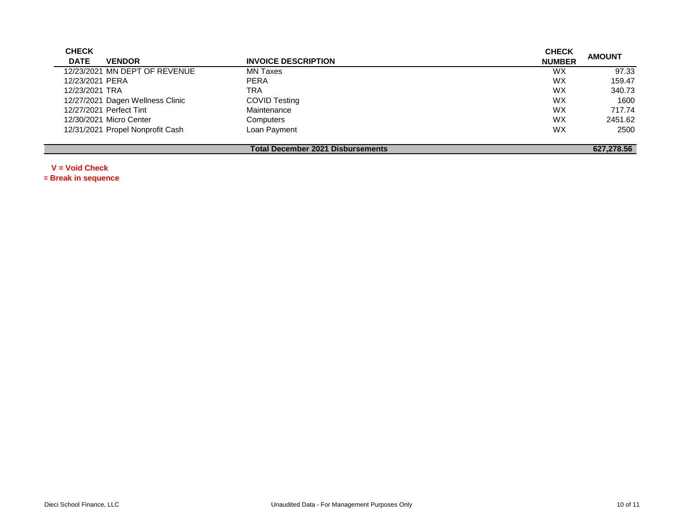| <b>CHECK</b>    |                                  |                                   | <b>CHECK</b>  |               |
|-----------------|----------------------------------|-----------------------------------|---------------|---------------|
| <b>DATE</b>     | <b>VENDOR</b>                    | <b>INVOICE DESCRIPTION</b>        | <b>NUMBER</b> | <b>AMOUNT</b> |
|                 | 12/23/2021 MN DEPT OF REVENUE    | <b>MN Taxes</b>                   | WX.           | 97.33         |
| 12/23/2021 PERA |                                  | <b>PERA</b>                       | <b>WX</b>     | 159.47        |
| 12/23/2021 TRA  |                                  | TRA                               | <b>WX</b>     | 340.73        |
|                 | 12/27/2021 Dagen Wellness Clinic | <b>COVID Testing</b>              | <b>WX</b>     | 1600          |
|                 | 12/27/2021 Perfect Tint          | Maintenance                       | <b>WX</b>     | 717.74        |
|                 | 12/30/2021 Micro Center          | Computers                         | <b>WX</b>     | 2451.62       |
|                 | 12/31/2021 Propel Nonprofit Cash | Loan Payment                      | <b>WX</b>     | 2500          |
|                 |                                  |                                   |               |               |
|                 |                                  | Total December 2021 Disbursements |               | 627.278.56    |

**V = Void Check**

**\*= Break in sequence**